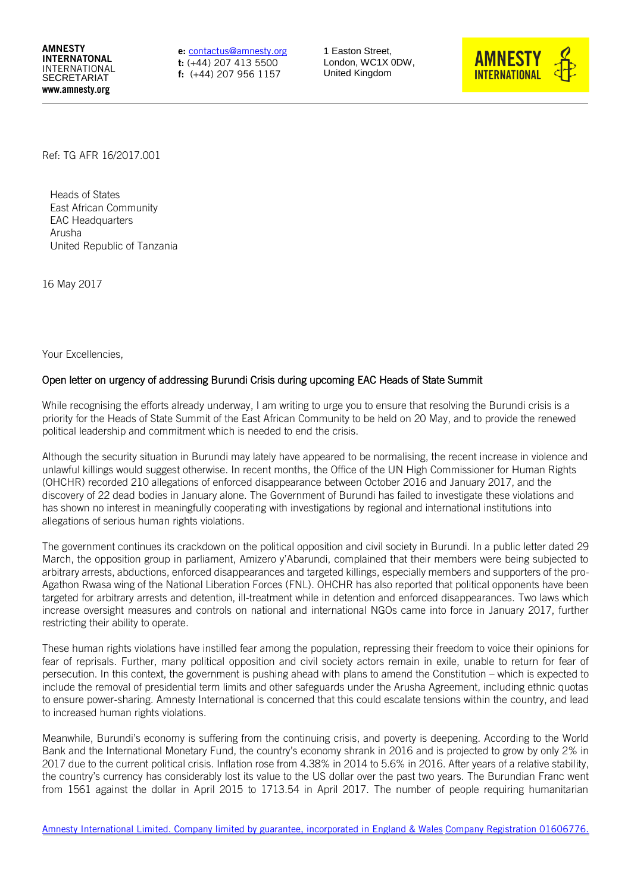AMNESTY INTERNATONAL INTERNATIONAL SECRETARIAT www.amnesty.org

e: [contactus@amnesty.org](mailto:contactus@amnesty.org) t: (+44) 207 413 5500 f: (+44) 207 956 1157

1 Easton Street, London, WC1X 0DW, United Kingdom



<span id="page-0-0"></span>Ref: TG AFR 16/2017.001

Heads of States East African Community EAC Headquarters Arusha United Republic of Tanzania

16 May 2017

Your Excellencies,

## Open letter on urgency of addressing Burundi Crisis during upcoming EAC Heads of State Summit

While recognising the efforts already underway, I am writing to urge you to ensure that resolving the Burundi crisis is a priority for the Heads of State Summit of the East African Community to be held on 20 May, and to provide the renewed political leadership and commitment which is needed to end the crisis.

Although the security situation in Burundi may lately have appeared to be normalising, the recent increase in violence and unlawful killings would suggest otherwise. In recent months, the Office of the UN High Commissioner for Human Rights (OHCHR) recorded 210 allegations of enforced disappearance between October 2016 and January 2017, and the discovery of 22 dead bodies in January alone. The Government of Burundi has failed to investigate these violations and has shown no interest in meaningfully cooperating with investigations by regional and international institutions into allegations of serious human rights violations.

The government continues its crackdown on the political opposition and civil society in Burundi. In a public letter dated 29 March, the opposition group in parliament, Amizero y'Abarundi, complained that their members were being subjected to arbitrary arrests, abductions, enforced disappearances and targeted killings, especially members and supporters of the pro-Agathon Rwasa wing of the National Liberation Forces (FNL). OHCHR has also reported that political opponents have been targeted for arbitrary arrests and detention, ill-treatment while in detention and enforced disappearances. Two laws which increase oversight measures and controls on national and international NGOs came into force in January 2017, further restricting their ability to operate.

These human rights violations have instilled fear among the population, repressing their freedom to voice their opinions for fear of reprisals. Further, many political opposition and civil society actors remain in exile, unable to return for fear of persecution. In this context, the government is pushing ahead with plans to amend the Constitution – which is expected to include the removal of presidential term limits and other safeguards under the Arusha Agreement, including ethnic quotas to ensure power-sharing. Amnesty International is concerned that this could escalate tensions within the country, and lead to increased human rights violations.

Meanwhile, Burundi's economy is suffering from the continuing crisis, and poverty is deepening. According to the World Bank and the International Monetary Fund, the country's economy shrank in 2016 and is projected to grow by only 2% in 2017 due to the current political crisis. Inflation rose from 4.38% in 2014 to 5.6% in 2016. After years of a relative stability, the country's currency has considerably lost its value to the US dollar over the past two years. The Burundian Franc went from 1561 against the dollar in April 2015 to 1713.54 in April 2017. The number of people requiring humanitarian